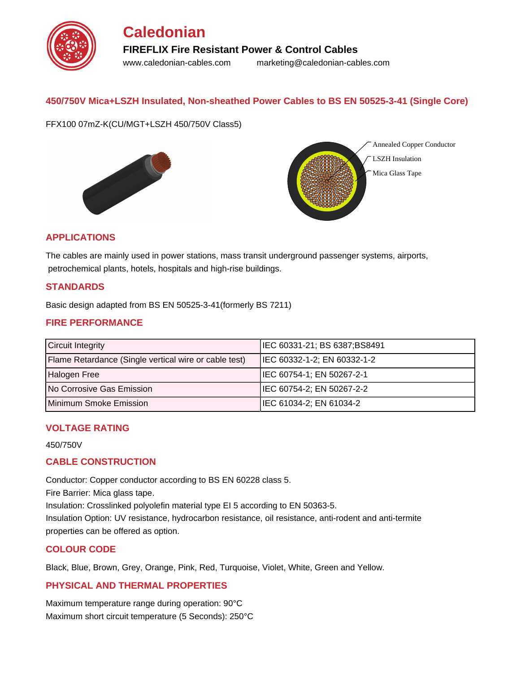

# **Caledonian FIREFLIX Fire Resistant Power & Control Cables** www.caledonian-cables.com marketing@caledonian-cables.com

### **450/750V Mica+LSZH Insulated, Non-sheathed Power Cables to BS EN 50525-3-41 (Single Core)**

FFX100 07mZ-K(CU/MGT+LSZH 450/750V Class5)





#### **APPLICATIONS**

The cables are mainly used in power stations, mass transit underground passenger systems, airports, petrochemical plants, hotels, hospitals and high-rise buildings.

#### **STANDARDS**

Basic design adapted from BS EN 50525-3-41(formerly BS 7211)

#### **FIRE PERFORMANCE**

| <b>Circuit Integrity</b>                              | IEC 60331-21; BS 6387;BS8491 |
|-------------------------------------------------------|------------------------------|
| Flame Retardance (Single vertical wire or cable test) | IEC 60332-1-2; EN 60332-1-2  |
| Halogen Free                                          | IEC 60754-1; EN 50267-2-1    |
| <b>No Corrosive Gas Emission</b>                      | IEC 60754-2; EN 50267-2-2    |
| Minimum Smoke Emission                                | IEC 61034-2; EN 61034-2      |

#### **VOLTAGE RATING**

450/750V

#### **CABLE CONSTRUCTION**

Conductor: Copper conductor according to BS EN 60228 class 5.

Fire Barrier: Mica glass tape.

Insulation: Crosslinked polyolefin material type EI 5 according to EN 50363-5.

Insulation Option: UV resistance, hydrocarbon resistance, oil resistance, anti-rodent and anti-termite properties can be offered as option.

#### **COLOUR CODE**

Black, Blue, Brown, Grey, Orange, Pink, Red, Turquoise, Violet, White, Green and Yellow.

#### **PHYSICAL AND THERMAL PROPERTIES**

Maximum temperature range during operation: 90°C Maximum short circuit temperature (5 Seconds): 250°C